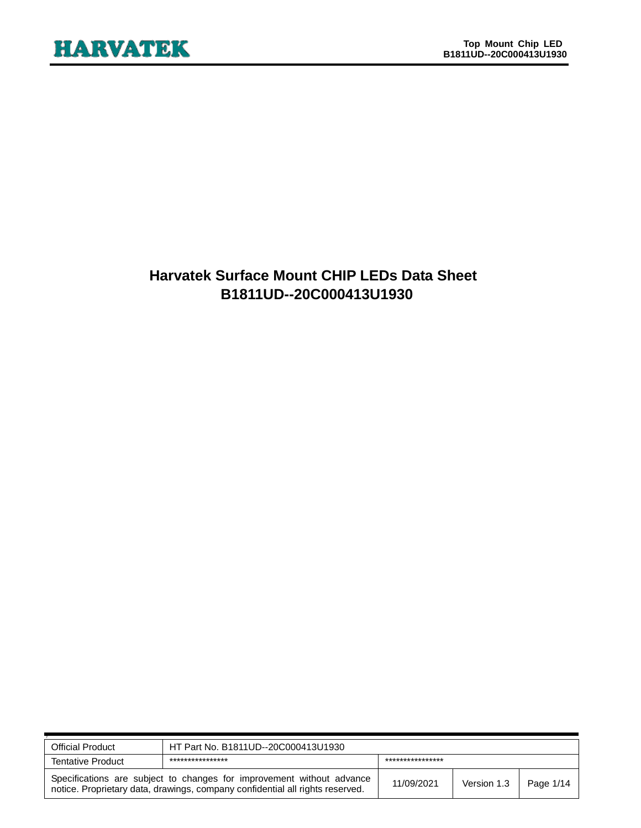## **Harvatek Surface Mount CHIP LEDs Data Sheet B1811UD--20C000413U1930**

| <b>Official Product</b>                                                                                                                                | HT Part No. B1811UD--20C000413U1930  |            |             |           |
|--------------------------------------------------------------------------------------------------------------------------------------------------------|--------------------------------------|------------|-------------|-----------|
| <b>Tentative Product</b>                                                                                                                               | ****************<br>**************** |            |             |           |
| Specifications are subject to changes for improvement without advance<br>notice. Proprietary data, drawings, company confidential all rights reserved. |                                      | 11/09/2021 | Version 1.3 | Page 1/14 |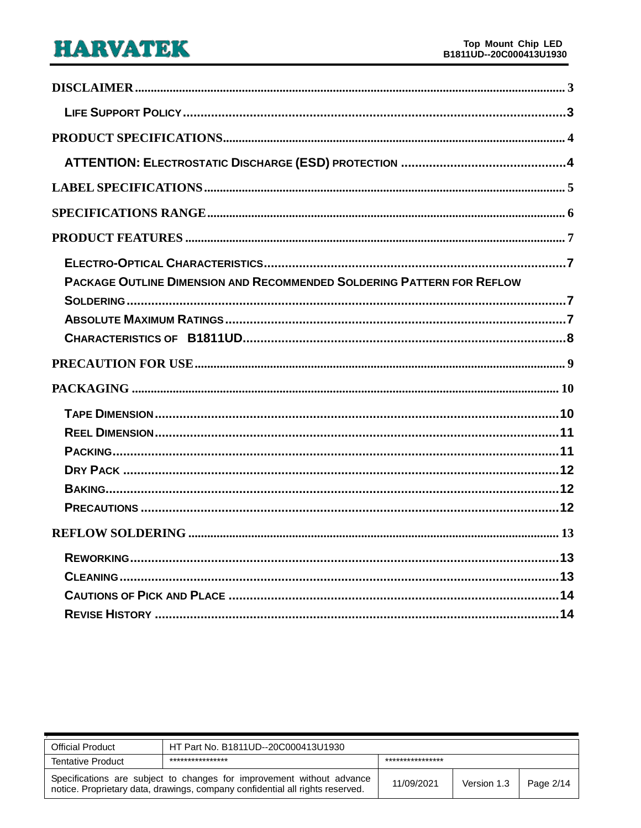| PACKAGE OUTLINE DIMENSION AND RECOMMENDED SOLDERING PATTERN FOR REFLOW |
|------------------------------------------------------------------------|
|                                                                        |
|                                                                        |
|                                                                        |
|                                                                        |
|                                                                        |
|                                                                        |
|                                                                        |
|                                                                        |
|                                                                        |
|                                                                        |
|                                                                        |
|                                                                        |
|                                                                        |
|                                                                        |
|                                                                        |
|                                                                        |

| <b>Official Product</b>                                                                                                                                | HT Part No. B1811UD--20C000413U1930 |                  |             |           |
|--------------------------------------------------------------------------------------------------------------------------------------------------------|-------------------------------------|------------------|-------------|-----------|
| <b>Tentative Product</b>                                                                                                                               | ****************                    | **************** |             |           |
| Specifications are subject to changes for improvement without advance<br>notice. Proprietary data, drawings, company confidential all rights reserved. |                                     | 11/09/2021       | Version 1.3 | Page 2/14 |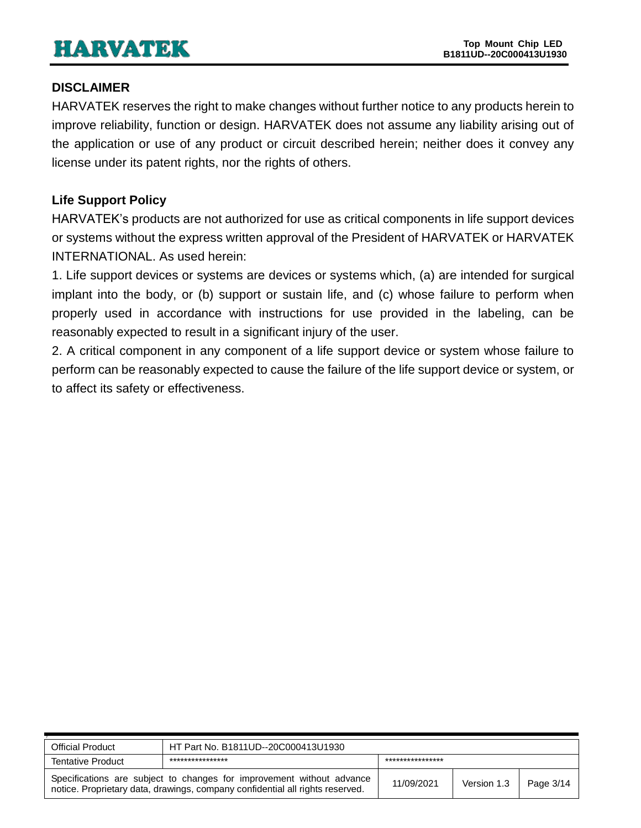#### <span id="page-2-0"></span>**DISCLAIMER**

HARVATEK reserves the right to make changes without further notice to any products herein to improve reliability, function or design. HARVATEK does not assume any liability arising out of the application or use of any product or circuit described herein; neither does it convey any license under its patent rights, nor the rights of others.

## <span id="page-2-1"></span>**Life Support Policy**

HARVATEK's products are not authorized for use as critical components in life support devices or systems without the express written approval of the President of HARVATEK or HARVATEK INTERNATIONAL. As used herein:

1. Life support devices or systems are devices or systems which, (a) are intended for surgical implant into the body, or (b) support or sustain life, and (c) whose failure to perform when properly used in accordance with instructions for use provided in the labeling, can be reasonably expected to result in a significant injury of the user.

2. A critical component in any component of a life support device or system whose failure to perform can be reasonably expected to cause the failure of the life support device or system, or to affect its safety or effectiveness.

| <b>Official Product</b>  | HT Part No. B1811UD--20C000413U1930                                                                                                                    |            |             |           |
|--------------------------|--------------------------------------------------------------------------------------------------------------------------------------------------------|------------|-------------|-----------|
| <b>Tentative Product</b> | ****************<br>***************                                                                                                                    |            |             |           |
|                          | Specifications are subject to changes for improvement without advance<br>notice. Proprietary data, drawings, company confidential all rights reserved. | 11/09/2021 | Version 1.3 | Page 3/14 |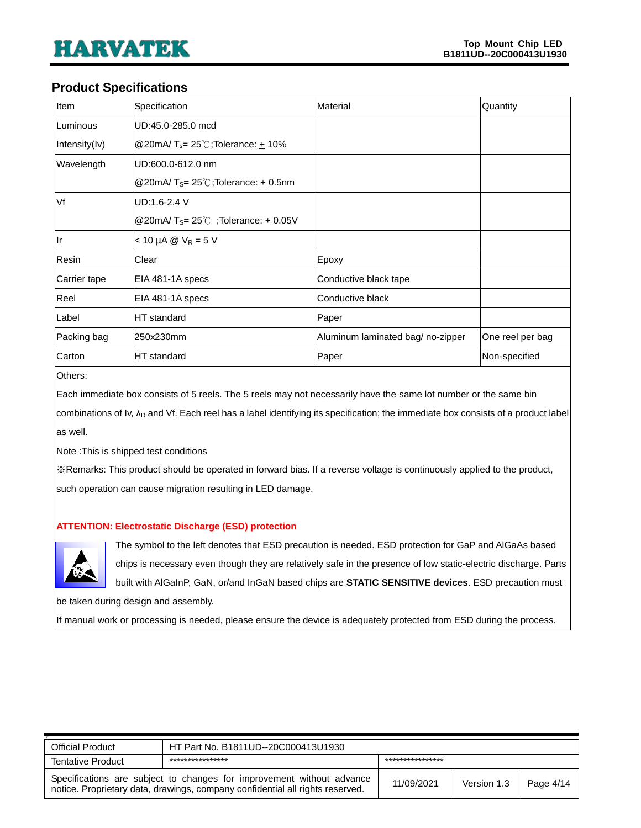#### <span id="page-3-0"></span>**Product Specifications**

| Item          | Specification                                                 | Material                          | Quantity         |
|---------------|---------------------------------------------------------------|-----------------------------------|------------------|
| Luminous      | UD:45.0-285.0 mcd                                             |                                   |                  |
| Intensity(Iv) | @20mA/ $T_s = 25^{\circ}$ C;Tolerance: $\pm$ 10%              |                                   |                  |
| Wavelength    | UD:600.0-612.0 nm                                             |                                   |                  |
|               | @20mA/T <sub>S</sub> = $25^{\circ}$ C;Tolerance: $\pm$ 0.5nm  |                                   |                  |
| Vf            | UD:1.6-2.4 V                                                  |                                   |                  |
|               | @20mA/T <sub>S</sub> = $25^{\circ}$ C; Tolerance: $\pm$ 0.05V |                                   |                  |
| llr           | $<$ 10 µA @ $V_R$ = 5 V                                       |                                   |                  |
| Resin         | Clear                                                         | Epoxy                             |                  |
| Carrier tape  | EIA 481-1A specs                                              | Conductive black tape             |                  |
| Reel          | EIA 481-1A specs                                              | Conductive black                  |                  |
| Label         | HT standard                                                   | Paper                             |                  |
| Packing bag   | 250x230mm                                                     | Aluminum laminated bag/ no-zipper | One reel per bag |
| Carton        | HT standard                                                   | Paper                             | Non-specified    |

Others:

Each immediate box consists of 5 reels. The 5 reels may not necessarily have the same lot number or the same bin

combinations of Iv, λ<sub>D</sub> and Vf. Each reel has a label identifying its specification; the immediate box consists of a product label as well.

Note :This is shipped test conditions

※Remarks: This product should be operated in forward bias. If a reverse voltage is continuously applied to the product, such operation can cause migration resulting in LED damage.

#### <span id="page-3-1"></span>**ATTENTION: Electrostatic Discharge (ESD) protection**



The symbol to the left denotes that ESD precaution is needed. ESD protection for GaP and AlGaAs based chips is necessary even though they are relatively safe in the presence of low static-electric discharge. Parts built with AlGaInP, GaN, or/and InGaN based chips are **STATIC SENSITIVE devices**. ESD precaution must

be taken during design and assembly.

If manual work or processing is needed, please ensure the device is adequately protected from ESD during the process.

| <b>Official Product</b>  | HT Part No. B1811UD--20C000413U1930                                                                                                                    |            |             |           |
|--------------------------|--------------------------------------------------------------------------------------------------------------------------------------------------------|------------|-------------|-----------|
| <b>Tentative Product</b> | ****************<br>***************                                                                                                                    |            |             |           |
|                          | Specifications are subject to changes for improvement without advance<br>notice. Proprietary data, drawings, company confidential all rights reserved. | 11/09/2021 | Version 1.3 | Page 4/14 |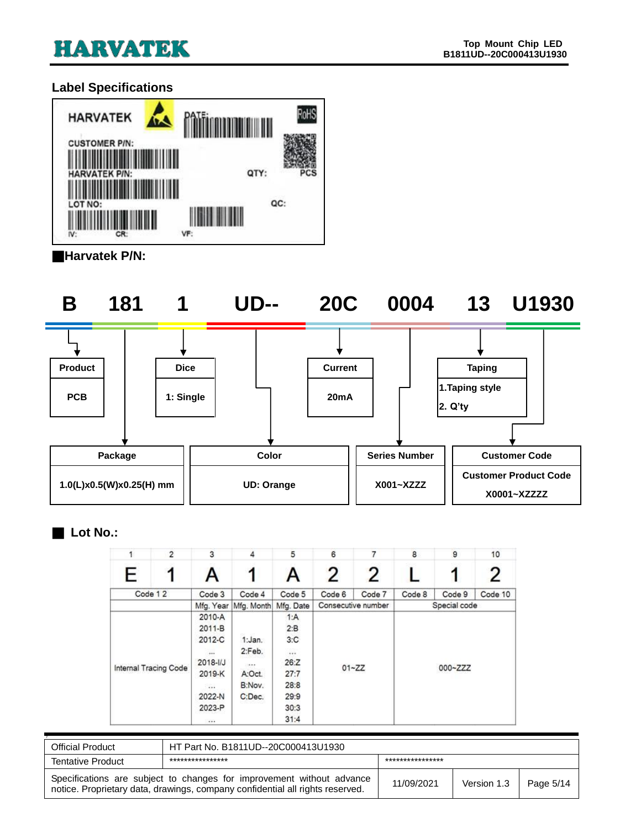## <span id="page-4-0"></span>**Label Specifications**



■**Harvatek P/N:**



## ■ **Lot No.:**

|   | $\overline{2}$        | 3            | 4          | 5         | 6      | 7                  | 8      | 9            | 10      |
|---|-----------------------|--------------|------------|-----------|--------|--------------------|--------|--------------|---------|
| E |                       |              |            | A         | 2      | 2                  |        |              | 2       |
|   | Code 12               | Code 3       | Code 4     | Code 5    | Code 6 | Code 7             | Code 8 | Code 9       | Code 10 |
|   |                       | Mfg. Year    | Mfg. Month | Mfg. Date |        | Consecutive number |        | Special code |         |
|   |                       | 2010-A       |            | 1: A      |        |                    |        |              |         |
|   |                       | 2011-B       |            | 2:B       |        |                    |        |              |         |
|   |                       | 2012-C       | 1:Jan.     | 3:C       |        |                    |        |              |         |
|   |                       |              | 2:Feb.     | 1.7.6     |        |                    |        |              |         |
|   |                       | $2018 - 1/J$ | Links in   | 26:Z      |        |                    |        | 000~ZZZ      |         |
|   | Internal Tracing Code | 2019-K       | A:Oct.     | 27:7      |        | $01 - ZZ$          |        |              |         |
|   |                       | $\sim$       | B:Nov.     | 28:8      |        |                    |        |              |         |
|   |                       | 2022-N       | C:Dec.     | 29:9      |        |                    |        |              |         |
|   |                       | 2023-P       |            | 30:3      |        |                    |        |              |         |
|   |                       |              |            | 31:4      |        |                    |        |              |         |

| <b>Official Product</b>  | HT Part No. B1811UD--20C000413U1930                                                                                                                    |            |             |           |
|--------------------------|--------------------------------------------------------------------------------------------------------------------------------------------------------|------------|-------------|-----------|
| <b>Tentative Product</b> | ****************<br>****************                                                                                                                   |            |             |           |
|                          | Specifications are subject to changes for improvement without advance<br>notice. Proprietary data, drawings, company confidential all rights reserved. | 11/09/2021 | Version 1.3 | Page 5/14 |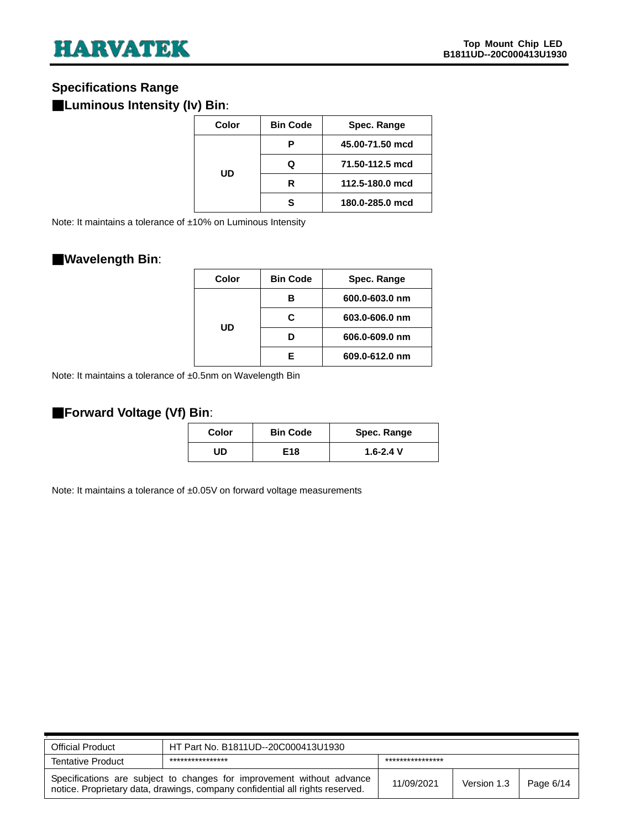#### <span id="page-5-0"></span>**Specifications Range**

#### ■**Luminous Intensity (Iv) Bin**:

| Color | <b>Bin Code</b> | Spec. Range     |
|-------|-----------------|-----------------|
| UD    |                 | 45.00-71.50 mcd |
|       | O               | 71.50-112.5 mcd |
|       | R               | 112.5-180.0 mcd |
|       |                 | 180.0-285.0 mcd |

Note: It maintains a tolerance of ±10% on Luminous Intensity

#### ■**Wavelength Bin**:

| Color | <b>Bin Code</b> | Spec. Range    |
|-------|-----------------|----------------|
| UD    |                 | 600.0-603.0 nm |
|       | c               | 603.0-606.0 nm |
|       |                 | 606.0-609.0 nm |
|       | F               | 609.0-612.0 nm |

Note: It maintains a tolerance of ±0.5nm on Wavelength Bin

## ■**Forward Voltage (Vf) Bin**:

| Color | <b>Bin Code</b> | Spec. Range   |
|-------|-----------------|---------------|
| UD    | E18             | $1.6 - 2.4$ V |

Note: It maintains a tolerance of ±0.05V on forward voltage measurements

| <b>Official Product</b>                                                                                                                                | HT Part No. B1811UD--20C000413U1930 |                  |             |           |  |
|--------------------------------------------------------------------------------------------------------------------------------------------------------|-------------------------------------|------------------|-------------|-----------|--|
| <b>Tentative Product</b>                                                                                                                               | ****************                    | **************** |             |           |  |
| Specifications are subject to changes for improvement without advance<br>notice. Proprietary data, drawings, company confidential all rights reserved. |                                     | 11/09/2021       | Version 1.3 | Page 6/14 |  |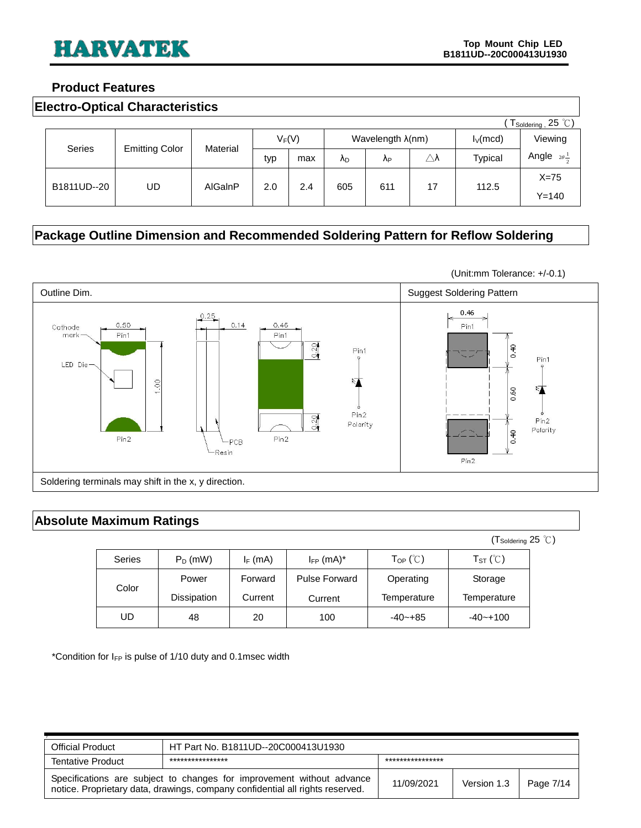#### <span id="page-6-0"></span>**Product Features**

<span id="page-6-1"></span>

|  | <b>Electro-Optical Characteristics</b> |
|--|----------------------------------------|
|--|----------------------------------------|

|               | $\dot{\ }$ $\mathsf{T}_{\mathsf{Soldering}}$ , 25 $\degree \text{C}$ ) |          |     |          |     |                  |                     |             |                                  |
|---------------|------------------------------------------------------------------------|----------|-----|----------|-----|------------------|---------------------|-------------|----------------------------------|
|               |                                                                        |          |     | $V_F(V)$ |     | Wavelength λ(nm) |                     | $I_V$ (mcd) | Viewing                          |
| <b>Series</b> | <b>Emitting Color</b>                                                  | Material | typ | max      | ΛD  | Λp               | $\triangle \lambda$ | Typical     | Angle<br>$2\theta$ $\frac{1}{2}$ |
|               |                                                                        |          |     |          |     |                  |                     |             | $X=75$                           |
| B1811UD--20   | UD                                                                     | AlGalnP  | 2.0 | 2.4      | 605 | 611              | 17                  | 112.5       | $Y = 140$                        |

## <span id="page-6-2"></span>**Package Outline Dimension and Recommended Soldering Pattern for Reflow Soldering**



#### <span id="page-6-3"></span>**Absolute Maximum Ratings**

|               |             |            |                            |             | $(T_{\text{Soldering}} 25^{\circ} \text{C})$ |  |
|---------------|-------------|------------|----------------------------|-------------|----------------------------------------------|--|
| <b>Series</b> | $P_D$ (mW)  | $I_F$ (mA) | $I_{FP}$ (mA) <sup>*</sup> | Top(C)      | $T_{ST}$ ( $\degree$ C)                      |  |
| Color         | Power       | Forward    | Pulse Forward              | Operating   | Storage                                      |  |
|               | Dissipation | Current    | Current                    | Temperature | Temperature                                  |  |
| UD            | 48          | 20         | 100                        | $-40 - +85$ | $-40 - +100$                                 |  |

\*Condition for  $I_{FP}$  is pulse of 1/10 duty and 0.1msec width

| <b>Official Product</b>  | HT Part No. B1811UD--20C000413U1930                                                                                                                    |                 |             |           |
|--------------------------|--------------------------------------------------------------------------------------------------------------------------------------------------------|-----------------|-------------|-----------|
| <b>Tentative Product</b> | ****************                                                                                                                                       | *************** |             |           |
|                          | Specifications are subject to changes for improvement without advance<br>notice. Proprietary data, drawings, company confidential all rights reserved. | 11/09/2021      | Version 1.3 | Page 7/14 |

(Unit:mm Tolerance: +/-0.1)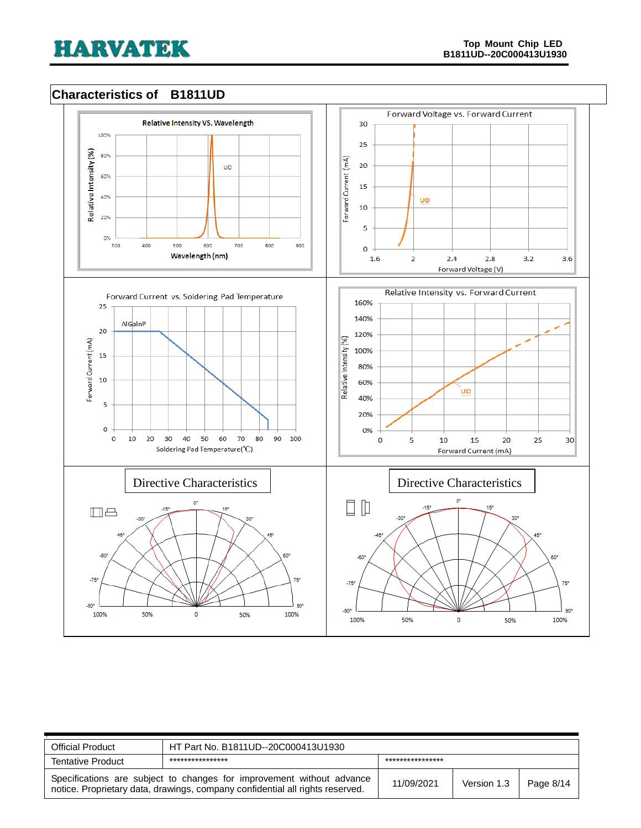#### <span id="page-7-0"></span>**Characteristics of B1811UD**



| <b>Official Product</b>  | HT Part No. B1811UD--20C000413U1930                                                                                                                    |                  |             |           |
|--------------------------|--------------------------------------------------------------------------------------------------------------------------------------------------------|------------------|-------------|-----------|
| <b>Tentative Product</b> | ****************                                                                                                                                       | **************** |             |           |
|                          | Specifications are subject to changes for improvement without advance<br>notice. Proprietary data, drawings, company confidential all rights reserved. | 11/09/2021       | Version 1.3 | Page 8/14 |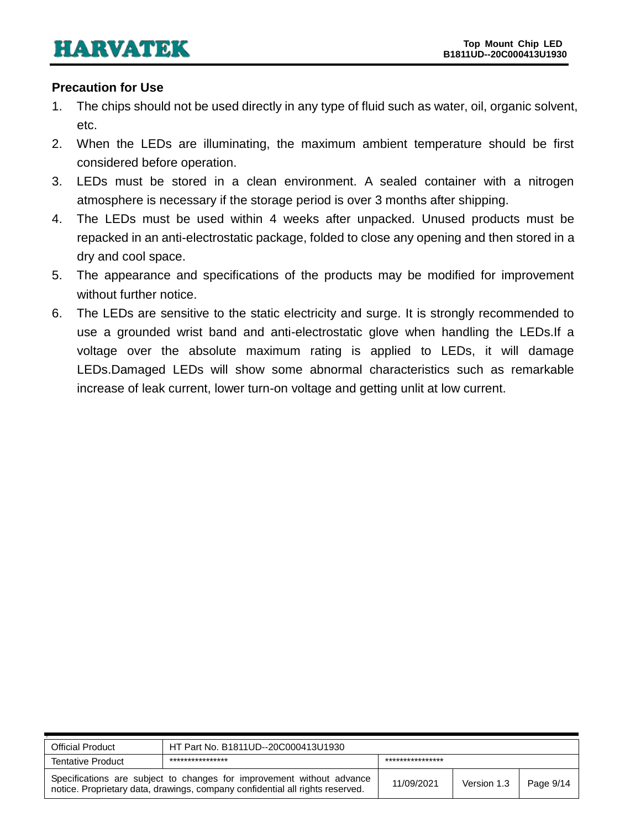#### <span id="page-8-0"></span>**Precaution for Use**

- 1. The chips should not be used directly in any type of fluid such as water, oil, organic solvent, etc.
- 2. When the LEDs are illuminating, the maximum ambient temperature should be first considered before operation.
- 3. LEDs must be stored in a clean environment. A sealed container with a nitrogen atmosphere is necessary if the storage period is over 3 months after shipping.
- 4. The LEDs must be used within 4 weeks after unpacked. Unused products must be repacked in an anti-electrostatic package, folded to close any opening and then stored in a dry and cool space.
- 5. The appearance and specifications of the products may be modified for improvement without further notice.
- 6. The LEDs are sensitive to the static electricity and surge. It is strongly recommended to use a grounded wrist band and anti-electrostatic glove when handling the LEDs.If a voltage over the absolute maximum rating is applied to LEDs, it will damage LEDs.Damaged LEDs will show some abnormal characteristics such as remarkable increase of leak current, lower turn-on voltage and getting unlit at low current.

| <b>Official Product</b>  | HT Part No. B1811UD--20C000413U1930                                                                                                                    |                  |             |           |
|--------------------------|--------------------------------------------------------------------------------------------------------------------------------------------------------|------------------|-------------|-----------|
| <b>Tentative Product</b> | ****************                                                                                                                                       | **************** |             |           |
|                          | Specifications are subject to changes for improvement without advance<br>notice. Proprietary data, drawings, company confidential all rights reserved. | 11/09/2021       | Version 1.3 | Page 9/14 |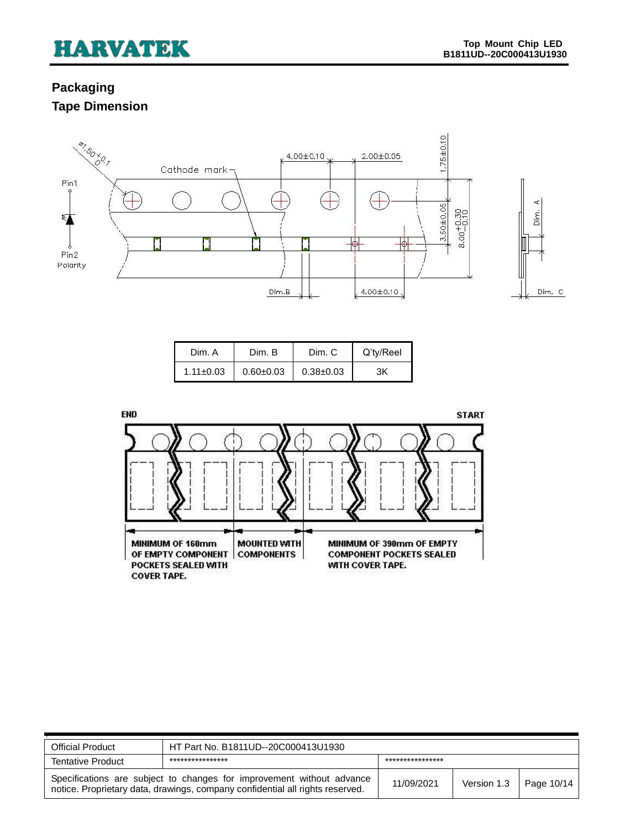## <span id="page-9-1"></span><span id="page-9-0"></span>**Packaging Tape Dimension**



| Dim. A          | Dim. B        | Dim. C        | Q'ty/Reel |
|-----------------|---------------|---------------|-----------|
| $1.11 \pm 0.03$ | $0.60 + 0.03$ | $0.38 + 0.03$ | ЗK        |



| <b>Official Product</b>  | HT Part No. B1811UD--20C000413U1930                                                                                                                    |                  |             |            |
|--------------------------|--------------------------------------------------------------------------------------------------------------------------------------------------------|------------------|-------------|------------|
| <b>Tentative Product</b> | ****************                                                                                                                                       | **************** |             |            |
|                          | Specifications are subject to changes for improvement without advance<br>notice. Proprietary data, drawings, company confidential all rights reserved. | 11/09/2021       | Version 1.3 | Page 10/14 |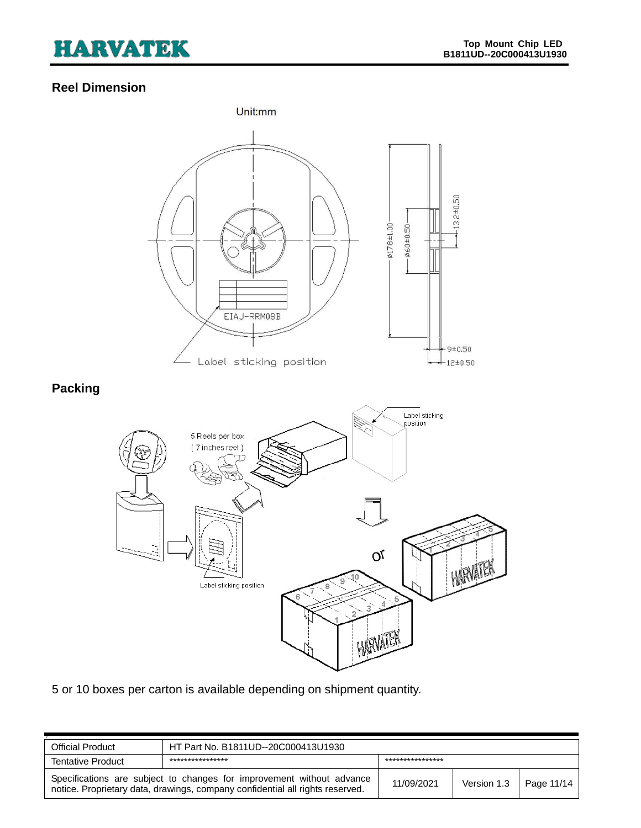#### <span id="page-10-0"></span>**Reel Dimension**

<span id="page-10-1"></span>

5 or 10 boxes per carton is available depending on shipment quantity.

| <b>Official Product</b>  | HT Part No. B1811UD--20C000413U1930                                                                                                                    |                  |             |            |
|--------------------------|--------------------------------------------------------------------------------------------------------------------------------------------------------|------------------|-------------|------------|
| <b>Tentative Product</b> | ****************                                                                                                                                       | **************** |             |            |
|                          | Specifications are subject to changes for improvement without advance<br>notice. Proprietary data, drawings, company confidential all rights reserved. | 11/09/2021       | Version 1.3 | Page 11/14 |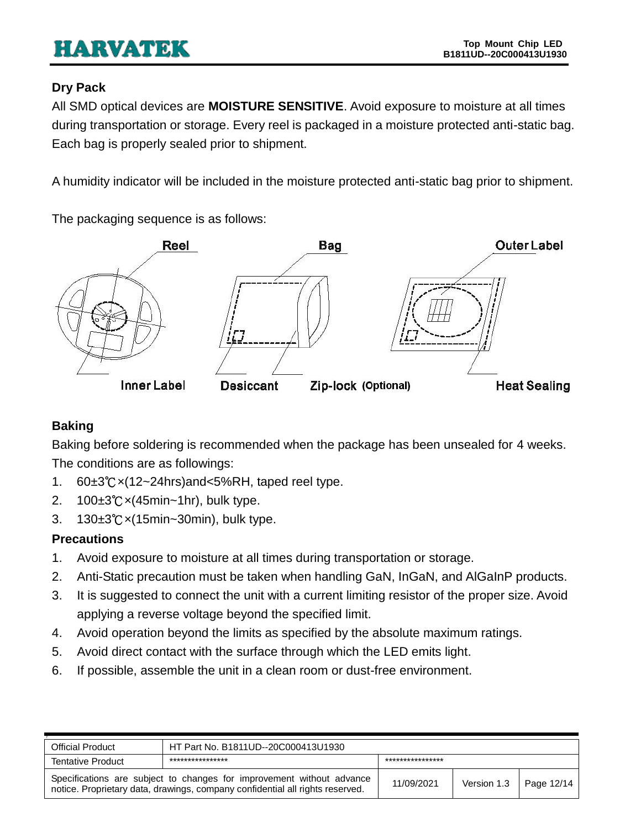#### <span id="page-11-0"></span>**Dry Pack**

All SMD optical devices are **MOISTURE SENSITIVE**. Avoid exposure to moisture at all times during transportation or storage. Every reel is packaged in a moisture protected anti-static bag. Each bag is properly sealed prior to shipment.

A humidity indicator will be included in the moisture protected anti-static bag prior to shipment.

The packaging sequence is as follows:



## <span id="page-11-1"></span>**Baking**

Baking before soldering is recommended when the package has been unsealed for 4 weeks. The conditions are as followings:

- 1. 60±3℃×(12~24hrs)and<5%RH, taped reel type.
- 2. 100±3℃×(45min~1hr), bulk type.
- 3. 130±3℃×(15min~30min), bulk type.

## <span id="page-11-2"></span>**Precautions**

- 1. Avoid exposure to moisture at all times during transportation or storage.
- 2. Anti-Static precaution must be taken when handling GaN, InGaN, and AlGaInP products.
- 3. It is suggested to connect the unit with a current limiting resistor of the proper size. Avoid applying a reverse voltage beyond the specified limit.
- 4. Avoid operation beyond the limits as specified by the absolute maximum ratings.
- 5. Avoid direct contact with the surface through which the LED emits light.
- 6. If possible, assemble the unit in a clean room or dust-free environment.

| <b>Official Product</b>  | HT Part No. B1811UD--20C000413U1930                                                                                                                    |                  |             |            |
|--------------------------|--------------------------------------------------------------------------------------------------------------------------------------------------------|------------------|-------------|------------|
| <b>Tentative Product</b> | ****************                                                                                                                                       | **************** |             |            |
|                          | Specifications are subject to changes for improvement without advance<br>notice. Proprietary data, drawings, company confidential all rights reserved. | 11/09/2021       | Version 1.3 | Page 12/14 |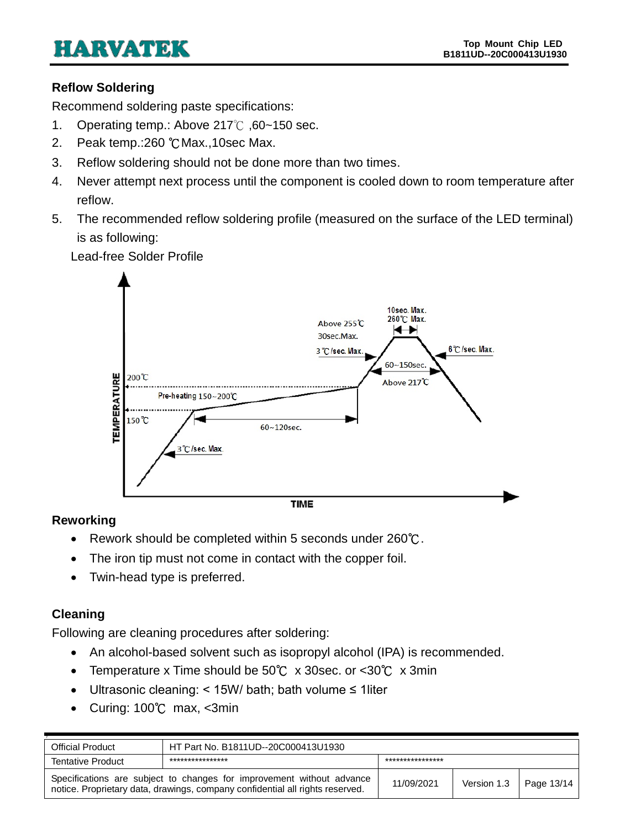#### <span id="page-12-0"></span>**Reflow Soldering**

Recommend soldering paste specifications:

- 1. Operating temp.: Above 217℃ ,60~150 sec.
- 2. Peak temp.:260 ℃Max.,10sec Max.
- 3. Reflow soldering should not be done more than two times.
- 4. Never attempt next process until the component is cooled down to room temperature after reflow.
- 5. The recommended reflow soldering profile (measured on the surface of the LED terminal) is as following:

Lead-free Solder Profile



#### <span id="page-12-1"></span>**Reworking**

- Rework should be completed within 5 seconds under 260℃.
- The iron tip must not come in contact with the copper foil.
- Twin-head type is preferred.

#### <span id="page-12-2"></span>**Cleaning**

Following are cleaning procedures after soldering:

- An alcohol-based solvent such as isopropyl alcohol (IPA) is recommended.
- Temperature x Time should be 50℃ x 30sec. or <30℃ x 3min
- Ultrasonic cleaning: < 15W/ bath; bath volume ≤ 1liter
- Curing: 100℃ max, <3min

| Official Product         | HT Part No. B1811UD--20C000413U1930                                                                                                                    |                  |             |            |
|--------------------------|--------------------------------------------------------------------------------------------------------------------------------------------------------|------------------|-------------|------------|
| <b>Tentative Product</b> | ****************                                                                                                                                       | **************** |             |            |
|                          | Specifications are subject to changes for improvement without advance<br>notice. Proprietary data, drawings, company confidential all rights reserved. | 11/09/2021       | Version 1.3 | Page 13/14 |